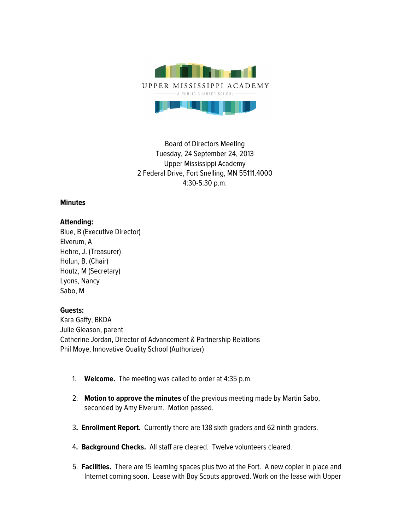

Board of Directors Meeting Tuesday, 24 September 24, 2013 Upper Mississippi Academy 2 Federal Drive, Fort Snelling, MN 55111.4000 4:30-5:30 p.m.

## **Minutes**

## **Attending:**

Blue, B (Executive Director) Elverum, A Hehre, J. (Treasurer) Holun, B. (Chair) Houtz, M (Secretary) Lyons, Nancy Sabo, M

## **Guests:**

Kara Gaffy, BKDA Julie Gleason, parent Catherine Jordan, Director of Advancement & Partnership Relations Phil Moye, Innovative Quality School (Authorizer)

- 1. **Welcome.** The meeting was called to order at 4:35 p.m.
- 2. **Motion to approve the minutes** of the previous meeting made by Martin Sabo, seconded by Amy Elverum. Motion passed.
- 3**. Enrollment Report.** Currently there are 138 sixth graders and 62 ninth graders.
- 4**. Background Checks.** All staff are cleared. Twelve volunteers cleared.
- 5. **Facilities.** There are 15 learning spaces plus two at the Fort. A new copier in place and Internet coming soon. Lease with Boy Scouts approved. Work on the lease with Upper